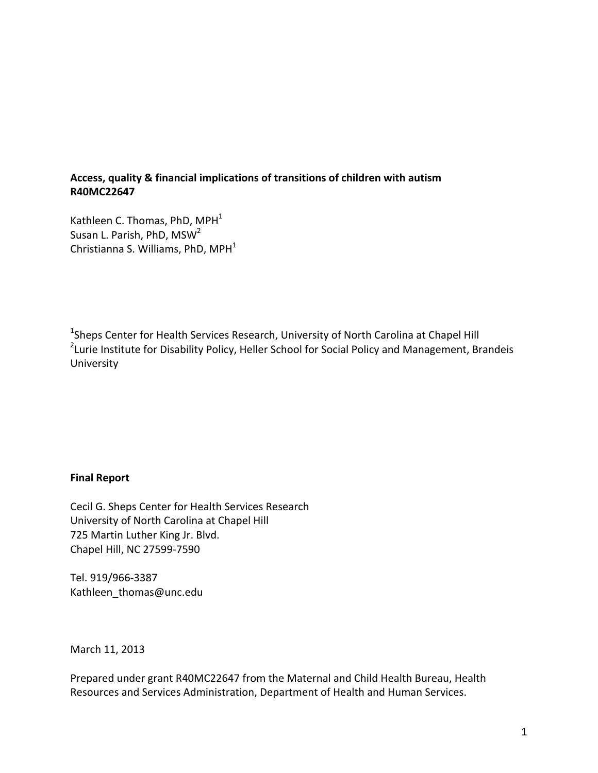### **Access, quality & financial implications of transitions of children with autism R40MC22647**

Kathleen C. Thomas, PhD,  $MPH<sup>1</sup>$ Susan L. Parish, PhD, MSW<sup>2</sup> Christianna S. Williams, PhD,  $MPH<sup>1</sup>$ 

<sup>1</sup>Sheps Center for Health Services Research, University of North Carolina at Chapel Hill <sup>2</sup>Lurie Institute for Disability Policy, Heller School for Social Policy and Management, Brandeis University

# **Final Report**

Cecil G. Sheps Center for Health Services Research University of North Carolina at Chapel Hill 725 Martin Luther King Jr. Blvd. Chapel Hill, NC 27599-7590

Tel. 919/966-3387 Kathleen\_thomas@unc.edu

March 11, 2013

Prepared under grant R40MC22647 from the Maternal and Child Health Bureau, Health Resources and Services Administration, Department of Health and Human Services.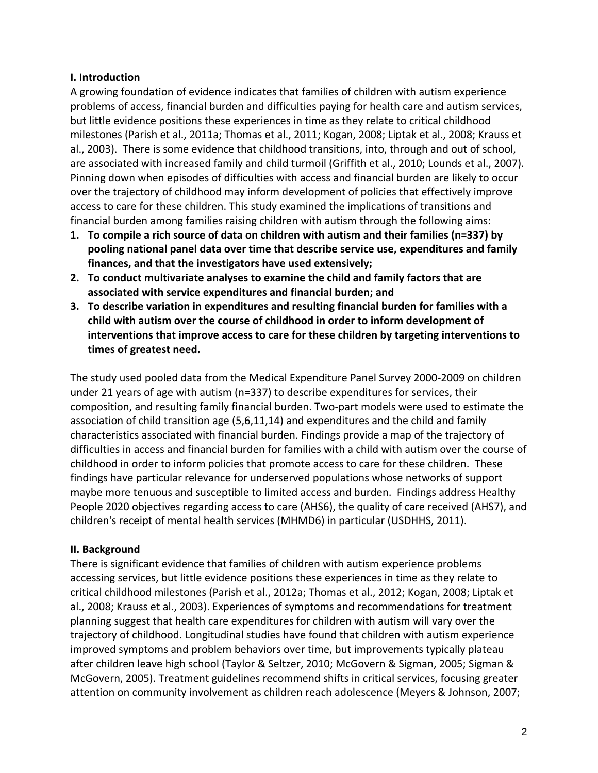### **I. Introduction**

A growing foundation of evidence indicates that families of children with autism experience problems of access, financial burden and difficulties paying for health care and autism services, but little evidence positions these experiences in time as they relate to critical childhood milestones (Parish et al., 2011a; Thomas et al., 2011; Kogan, 2008; Liptak et al., 2008; Krauss et al., 2003). There is some evidence that childhood transitions, into, through and out of school, are associated with increased family and child turmoil (Griffith et al., 2010; Lounds et al., 2007). Pinning down when episodes of difficulties with access and financial burden are likely to occur over the trajectory of childhood may inform development of policies that effectively improve access to care for these children. This study examined the implications of transitions and financial burden among families raising children with autism through the following aims:

- **1. To compile a rich source of data on children with autism and their families (n=337) by pooling national panel data over time that describe service use, expenditures and family finances, and that the investigators have used extensively;**
- **2. To conduct multivariate analyses to examine the child and family factors that are associated with service expenditures and financial burden; and**
- **3. To describe variation in expenditures and resulting financial burden for families with a child with autism over the course of childhood in order to inform development of interventions that improve access to care for these children by targeting interventions to times of greatest need.**

The study used pooled data from the Medical Expenditure Panel Survey 2000-2009 on children under 21 years of age with autism (n=337) to describe expenditures for services, their composition, and resulting family financial burden. Two-part models were used to estimate the association of child transition age (5,6,11,14) and expenditures and the child and family characteristics associated with financial burden. Findings provide a map of the trajectory of difficulties in access and financial burden for families with a child with autism over the course of childhood in order to inform policies that promote access to care for these children. These findings have particular relevance for underserved populations whose networks of support maybe more tenuous and susceptible to limited access and burden. Findings address Healthy People 2020 objectives regarding access to care (AHS6), the quality of care received (AHS7), and children's receipt of mental health services (MHMD6) in particular (USDHHS, 2011).

# **II. Background**

There is significant evidence that families of children with autism experience problems accessing services, but little evidence positions these experiences in time as they relate to critical childhood milestones (Parish et al., 2012a; Thomas et al., 2012; Kogan, 2008; Liptak et al., 2008; Krauss et al., 2003). Experiences of symptoms and recommendations for treatment planning suggest that health care expenditures for children with autism will vary over the trajectory of childhood. Longitudinal studies have found that children with autism experience improved symptoms and problem behaviors over time, but improvements typically plateau after children leave high school (Taylor & Seltzer, 2010; McGovern & Sigman, 2005; Sigman & McGovern, 2005). Treatment guidelines recommend shifts in critical services, focusing greater attention on community involvement as children reach adolescence (Meyers & Johnson, 2007;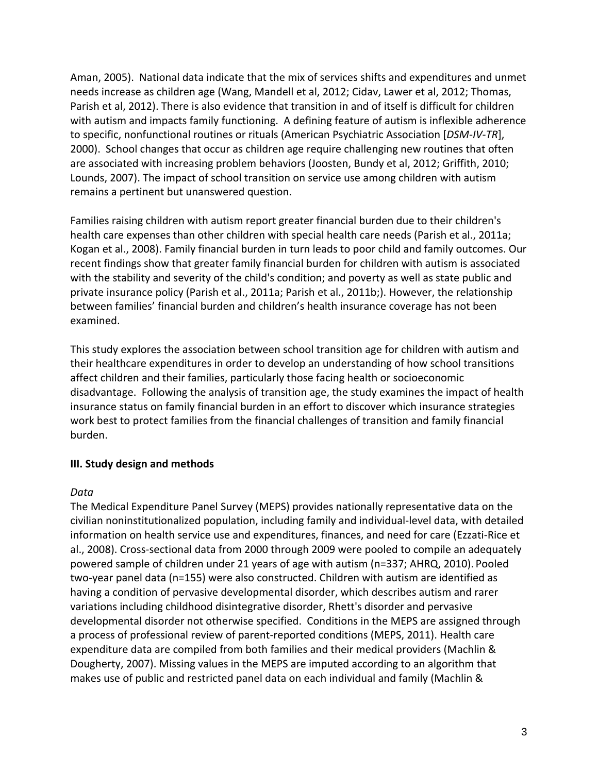Aman, 2005). National data indicate that the mix of services shifts and expenditures and unmet needs increase as children age (Wang, Mandell et al, 2012; Cidav, Lawer et al, 2012; Thomas, Parish et al, 2012). There is also evidence that transition in and of itself is difficult for children with autism and impacts family functioning. A defining feature of autism is inflexible adherence to specific, nonfunctional routines or rituals (American Psychiatric Association [*DSM-IV-TR*], 2000). School changes that occur as children age require challenging new routines that often are associated with increasing problem behaviors (Joosten, Bundy et al, 2012; Griffith, 2010; Lounds, 2007). The impact of school transition on service use among children with autism remains a pertinent but unanswered question.

Families raising children with autism report greater financial burden due to their children's health care expenses than other children with special health care needs (Parish et al., 2011a; Kogan et al., 2008). Family financial burden in turn leads to poor child and family outcomes. Our recent findings show that greater family financial burden for children with autism is associated with the stability and severity of the child's condition; and poverty as well as state public and private insurance policy (Parish et al., 2011a; Parish et al., 2011b;). However, the relationship between families' financial burden and children's health insurance coverage has not been examined.

This study explores the association between school transition age for children with autism and their healthcare expenditures in order to develop an understanding of how school transitions affect children and their families, particularly those facing health or socioeconomic disadvantage. Following the analysis of transition age, the study examines the impact of health insurance status on family financial burden in an effort to discover which insurance strategies work best to protect families from the financial challenges of transition and family financial burden.

# **III. Study design and methods**

# *Data*

The Medical Expenditure Panel Survey (MEPS) provides nationally representative data on the civilian noninstitutionalized population, including family and individual-level data, with detailed information on health service use and expenditures, finances, and need for care (Ezzati-Rice et al., 2008). Cross-sectional data from 2000 through 2009 were pooled to compile an adequately powered sample of children under 21 years of age with autism (n=337; AHRQ, 2010). Pooled two-year panel data (n=155) were also constructed. Children with autism are identified as having a condition of pervasive developmental disorder, which describes autism and rarer variations including childhood disintegrative disorder, Rhett's disorder and pervasive developmental disorder not otherwise specified. Conditions in the MEPS are assigned through a process of professional review of parent-reported conditions (MEPS, 2011). Health care expenditure data are compiled from both families and their medical providers (Machlin & Dougherty, 2007). Missing values in the MEPS are imputed according to an algorithm that makes use of public and restricted panel data on each individual and family (Machlin &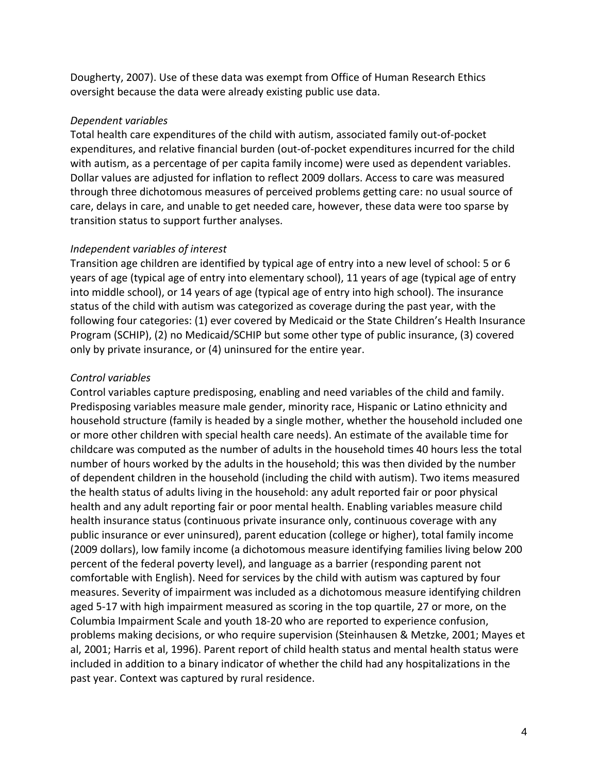Dougherty, 2007). Use of these data was exempt from Office of Human Research Ethics oversight because the data were already existing public use data.

### *Dependent variables*

Total health care expenditures of the child with autism, associated family out-of-pocket expenditures, and relative financial burden (out-of-pocket expenditures incurred for the child with autism, as a percentage of per capita family income) were used as dependent variables. Dollar values are adjusted for inflation to reflect 2009 dollars. Access to care was measured through three dichotomous measures of perceived problems getting care: no usual source of care, delays in care, and unable to get needed care, however, these data were too sparse by transition status to support further analyses.

### *Independent variables of interest*

Transition age children are identified by typical age of entry into a new level of school: 5 or 6 years of age (typical age of entry into elementary school), 11 years of age (typical age of entry into middle school), or 14 years of age (typical age of entry into high school). The insurance status of the child with autism was categorized as coverage during the past year, with the following four categories: (1) ever covered by Medicaid or the State Children's Health Insurance Program (SCHIP), (2) no Medicaid/SCHIP but some other type of public insurance, (3) covered only by private insurance, or (4) uninsured for the entire year.

# *Control variables*

Control variables capture predisposing, enabling and need variables of the child and family. Predisposing variables measure male gender, minority race, Hispanic or Latino ethnicity and household structure (family is headed by a single mother, whether the household included one or more other children with special health care needs). An estimate of the available time for childcare was computed as the number of adults in the household times 40 hours less the total number of hours worked by the adults in the household; this was then divided by the number of dependent children in the household (including the child with autism). Two items measured the health status of adults living in the household: any adult reported fair or poor physical health and any adult reporting fair or poor mental health. Enabling variables measure child health insurance status (continuous private insurance only, continuous coverage with any public insurance or ever uninsured), parent education (college or higher), total family income (2009 dollars), low family income (a dichotomous measure identifying families living below 200 percent of the federal poverty level), and language as a barrier (responding parent not comfortable with English). Need for services by the child with autism was captured by four measures. Severity of impairment was included as a dichotomous measure identifying children aged 5-17 with high impairment measured as scoring in the top quartile, 27 or more, on the Columbia Impairment Scale and youth 18-20 who are reported to experience confusion, problems making decisions, or who require supervision (Steinhausen & Metzke, 2001; Mayes et al, 2001; Harris et al, 1996). Parent report of child health status and mental health status were included in addition to a binary indicator of whether the child had any hospitalizations in the past year. Context was captured by rural residence.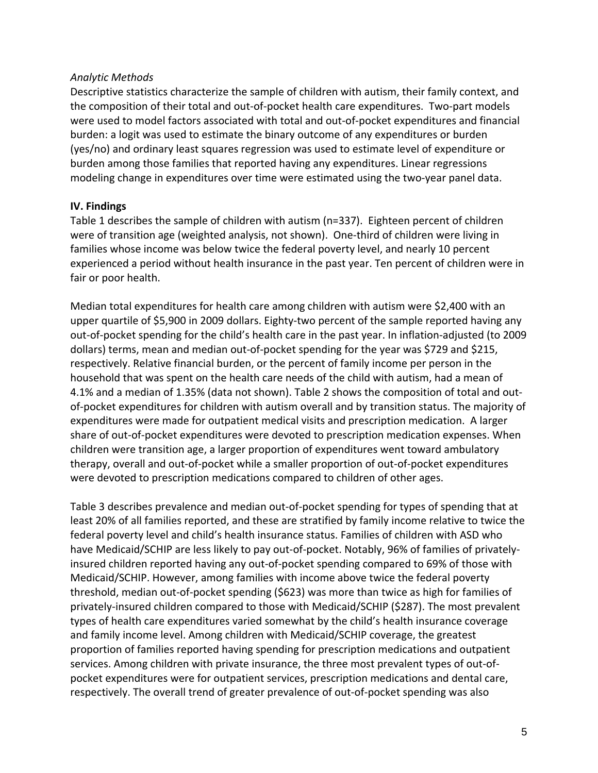### *Analytic Methods*

Descriptive statistics characterize the sample of children with autism, their family context, and the composition of their total and out-of-pocket health care expenditures. Two-part models were used to model factors associated with total and out-of-pocket expenditures and financial burden: a logit was used to estimate the binary outcome of any expenditures or burden (yes/no) and ordinary least squares regression was used to estimate level of expenditure or burden among those families that reported having any expenditures. Linear regressions modeling change in expenditures over time were estimated using the two-year panel data.

# **IV. Findings**

Table 1 describes the sample of children with autism (n=337). Eighteen percent of children were of transition age (weighted analysis, not shown). One-third of children were living in families whose income was below twice the federal poverty level, and nearly 10 percent experienced a period without health insurance in the past year. Ten percent of children were in fair or poor health.

Median total expenditures for health care among children with autism were \$2,400 with an upper quartile of \$5,900 in 2009 dollars. Eighty-two percent of the sample reported having any out-of-pocket spending for the child's health care in the past year. In inflation-adjusted (to 2009 dollars) terms, mean and median out-of-pocket spending for the year was \$729 and \$215, respectively. Relative financial burden, or the percent of family income per person in the household that was spent on the health care needs of the child with autism, had a mean of 4.1% and a median of 1.35% (data not shown). Table 2 shows the composition of total and outof-pocket expenditures for children with autism overall and by transition status. The majority of expenditures were made for outpatient medical visits and prescription medication. A larger share of out-of-pocket expenditures were devoted to prescription medication expenses. When children were transition age, a larger proportion of expenditures went toward ambulatory therapy, overall and out-of-pocket while a smaller proportion of out-of-pocket expenditures were devoted to prescription medications compared to children of other ages.

Table 3 describes prevalence and median out-of-pocket spending for types of spending that at least 20% of all families reported, and these are stratified by family income relative to twice the federal poverty level and child's health insurance status. Families of children with ASD who have Medicaid/SCHIP are less likely to pay out-of-pocket. Notably, 96% of families of privatelyinsured children reported having any out-of-pocket spending compared to 69% of those with Medicaid/SCHIP. However, among families with income above twice the federal poverty threshold, median out-of-pocket spending (\$623) was more than twice as high for families of privately-insured children compared to those with Medicaid/SCHIP (\$287). The most prevalent types of health care expenditures varied somewhat by the child's health insurance coverage and family income level. Among children with Medicaid/SCHIP coverage, the greatest proportion of families reported having spending for prescription medications and outpatient services. Among children with private insurance, the three most prevalent types of out-ofpocket expenditures were for outpatient services, prescription medications and dental care, respectively. The overall trend of greater prevalence of out-of-pocket spending was also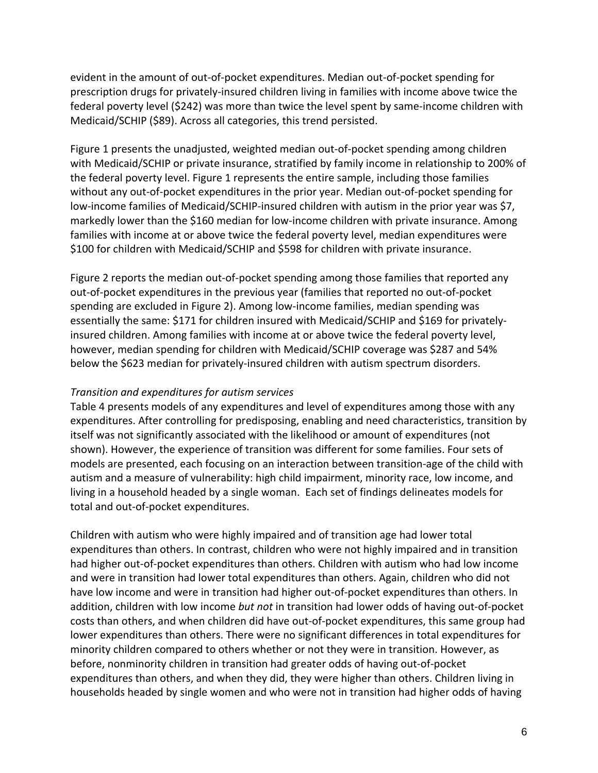evident in the amount of out-of-pocket expenditures. Median out-of-pocket spending for prescription drugs for privately-insured children living in families with income above twice the federal poverty level (\$242) was more than twice the level spent by same-income children with Medicaid/SCHIP (\$89). Across all categories, this trend persisted.

Figure 1 presents the unadjusted, weighted median out-of-pocket spending among children with Medicaid/SCHIP or private insurance, stratified by family income in relationship to 200% of the federal poverty level. Figure 1 represents the entire sample, including those families without any out-of-pocket expenditures in the prior year. Median out-of-pocket spending for low-income families of Medicaid/SCHIP-insured children with autism in the prior year was \$7, markedly lower than the \$160 median for low-income children with private insurance. Among families with income at or above twice the federal poverty level, median expenditures were \$100 for children with Medicaid/SCHIP and \$598 for children with private insurance.

Figure 2 reports the median out-of-pocket spending among those families that reported any out-of-pocket expenditures in the previous year (families that reported no out-of-pocket spending are excluded in Figure 2). Among low-income families, median spending was essentially the same: \$171 for children insured with Medicaid/SCHIP and \$169 for privatelyinsured children. Among families with income at or above twice the federal poverty level, however, median spending for children with Medicaid/SCHIP coverage was \$287 and 54% below the \$623 median for privately-insured children with autism spectrum disorders.

#### *Transition and expenditures for autism services*

Table 4 presents models of any expenditures and level of expenditures among those with any expenditures. After controlling for predisposing, enabling and need characteristics, transition by itself was not significantly associated with the likelihood or amount of expenditures (not shown). However, the experience of transition was different for some families. Four sets of models are presented, each focusing on an interaction between transition-age of the child with autism and a measure of vulnerability: high child impairment, minority race, low income, and living in a household headed by a single woman. Each set of findings delineates models for total and out-of-pocket expenditures.

Children with autism who were highly impaired and of transition age had lower total expenditures than others. In contrast, children who were not highly impaired and in transition had higher out-of-pocket expenditures than others. Children with autism who had low income and were in transition had lower total expenditures than others. Again, children who did not have low income and were in transition had higher out-of-pocket expenditures than others. In addition, children with low income *but not* in transition had lower odds of having out-of-pocket costs than others, and when children did have out-of-pocket expenditures, this same group had lower expenditures than others. There were no significant differences in total expenditures for minority children compared to others whether or not they were in transition. However, as before, nonminority children in transition had greater odds of having out-of-pocket expenditures than others, and when they did, they were higher than others. Children living in households headed by single women and who were not in transition had higher odds of having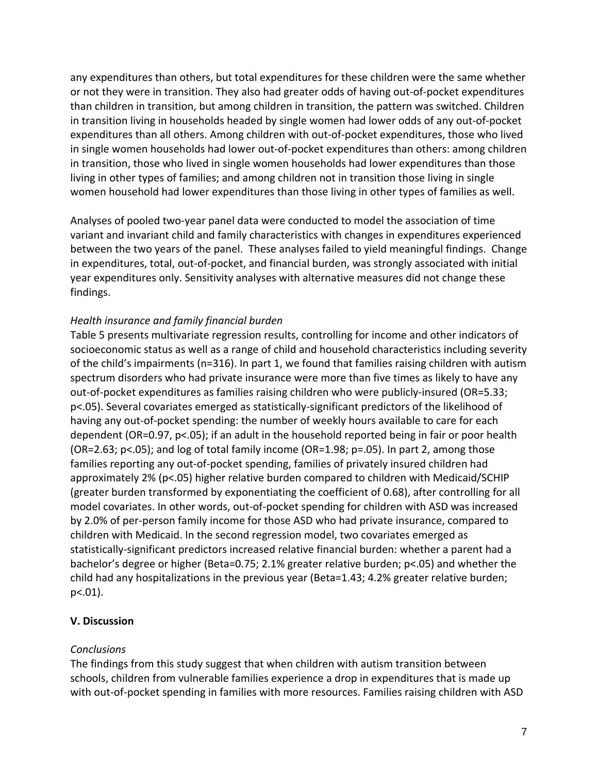any expenditures than others, but total expenditures for these children were the same whether or not they were in transition. They also had greater odds of having out-of-pocket expenditures than children in transition, but among children in transition, the pattern was switched. Children in transition living in households headed by single women had lower odds of any out-of-pocket expenditures than all others. Among children with out-of-pocket expenditures, those who lived in single women households had lower out-of-pocket expenditures than others: among children in transition, those who lived in single women households had lower expenditures than those living in other types of families; and among children not in transition those living in single women household had lower expenditures than those living in other types of families as well.

Analyses of pooled two-year panel data were conducted to model the association of time variant and invariant child and family characteristics with changes in expenditures experienced between the two years of the panel. These analyses failed to yield meaningful findings. Change in expenditures, total, out-of-pocket, and financial burden, was strongly associated with initial year expenditures only. Sensitivity analyses with alternative measures did not change these findings.

# *Health insurance and family financial burden*

Table 5 presents multivariate regression results, controlling for income and other indicators of socioeconomic status as well as a range of child and household characteristics including severity of the child's impairments (n=316). In part 1, we found that families raising children with autism spectrum disorders who had private insurance were more than five times as likely to have any out-of-pocket expenditures as families raising children who were publicly-insured (OR=5.33; p<.05). Several covariates emerged as statistically-significant predictors of the likelihood of having any out-of-pocket spending: the number of weekly hours available to care for each dependent (OR=0.97, p<.05); if an adult in the household reported being in fair or poor health  $(OR=2.63; p<.05)$ ; and log of total family income  $(OR=1.98; p=.05)$ . In part 2, among those families reporting any out-of-pocket spending, families of privately insured children had approximately 2% (p<.05) higher relative burden compared to children with Medicaid/SCHIP (greater burden transformed by exponentiating the coefficient of 0.68), after controlling for all model covariates. In other words, out-of-pocket spending for children with ASD was increased by 2.0% of per-person family income for those ASD who had private insurance, compared to children with Medicaid. In the second regression model, two covariates emerged as statistically-significant predictors increased relative financial burden: whether a parent had a bachelor's degree or higher (Beta=0.75; 2.1% greater relative burden; p<.05) and whether the child had any hospitalizations in the previous year (Beta=1.43; 4.2% greater relative burden; p<.01).

#### **V. Discussion**

# *Conclusions*

The findings from this study suggest that when children with autism transition between schools, children from vulnerable families experience a drop in expenditures that is made up with out-of-pocket spending in families with more resources. Families raising children with ASD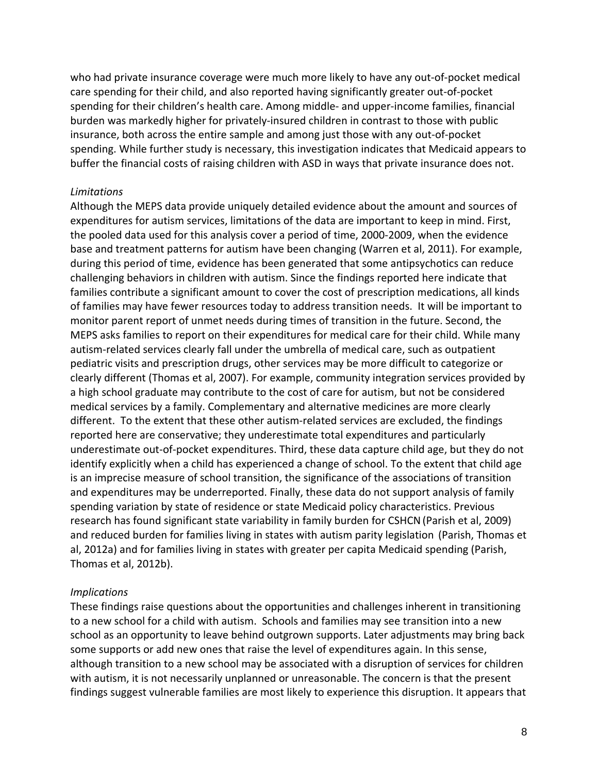who had private insurance coverage were much more likely to have any out-of-pocket medical care spending for their child, and also reported having significantly greater out-of-pocket spending for their children's health care. Among middle- and upper-income families, financial burden was markedly higher for privately-insured children in contrast to those with public insurance, both across the entire sample and among just those with any out-of-pocket spending. While further study is necessary, this investigation indicates that Medicaid appears to buffer the financial costs of raising children with ASD in ways that private insurance does not.

#### *Limitations*

Although the MEPS data provide uniquely detailed evidence about the amount and sources of expenditures for autism services, limitations of the data are important to keep in mind. First, the pooled data used for this analysis cover a period of time, 2000-2009, when the evidence base and treatment patterns for autism have been changing (Warren et al, 2011). For example, during this period of time, evidence has been generated that some antipsychotics can reduce challenging behaviors in children with autism. Since the findings reported here indicate that families contribute a significant amount to cover the cost of prescription medications, all kinds of families may have fewer resources today to address transition needs. It will be important to monitor parent report of unmet needs during times of transition in the future. Second, the MEPS asks families to report on their expenditures for medical care for their child. While many autism-related services clearly fall under the umbrella of medical care, such as outpatient pediatric visits and prescription drugs, other services may be more difficult to categorize or clearly different (Thomas et al, 2007). For example, community integration services provided by a high school graduate may contribute to the cost of care for autism, but not be considered medical services by a family. Complementary and alternative medicines are more clearly different. To the extent that these other autism-related services are excluded, the findings reported here are conservative; they underestimate total expenditures and particularly underestimate out-of-pocket expenditures. Third, these data capture child age, but they do not identify explicitly when a child has experienced a change of school. To the extent that child age is an imprecise measure of school transition, the significance of the associations of transition and expenditures may be underreported. Finally, these data do not support analysis of family spending variation by state of residence or state Medicaid policy characteristics. Previous research has found significant state variability in family burden for CSHCN(Parish et al, 2009) and reduced burden for families living in states with autism parity legislation (Parish, Thomas et al, 2012a) and for families living in states with greater per capita Medicaid spending (Parish, Thomas et al, 2012b).

#### *Implications*

These findings raise questions about the opportunities and challenges inherent in transitioning to a new school for a child with autism. Schools and families may see transition into a new school as an opportunity to leave behind outgrown supports. Later adjustments may bring back some supports or add new ones that raise the level of expenditures again. In this sense, although transition to a new school may be associated with a disruption of services for children with autism, it is not necessarily unplanned or unreasonable. The concern is that the present findings suggest vulnerable families are most likely to experience this disruption. It appears that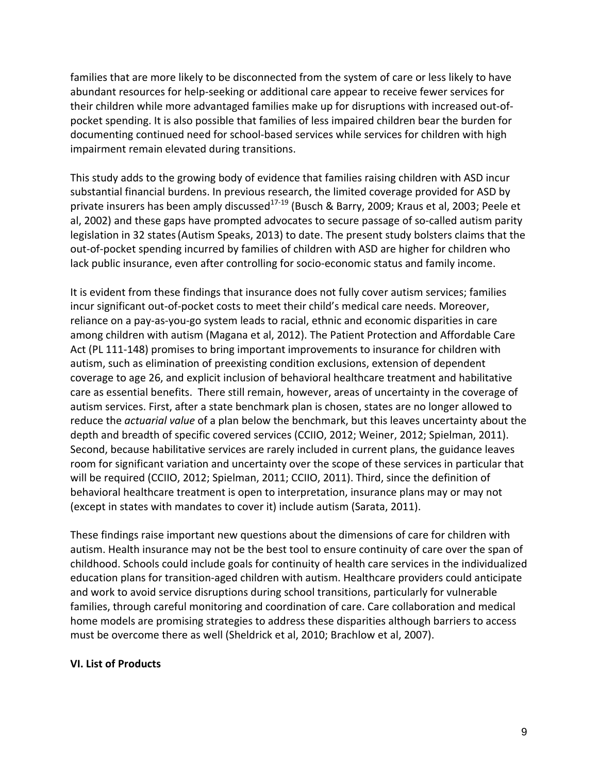families that are more likely to be disconnected from the system of care or less likely to have abundant resources for help-seeking or additional care appear to receive fewer services for their children while more advantaged families make up for disruptions with increased out-ofpocket spending. It is also possible that families of less impaired children bear the burden for documenting continued need for school-based services while services for children with high impairment remain elevated during transitions.

This study adds to the growing body of evidence that families raising children with ASD incur substantial financial burdens. In previous research, the limited coverage provided for ASD by private insurers has been amply discussed<sup>17-19</sup> (Busch & Barry, 2009; Kraus et al, 2003; Peele et al, 2002) and these gaps have prompted advocates to secure passage of so-called autism parity legislation in 32 states(Autism Speaks, 2013) to date. The present study bolsters claims that the out-of-pocket spending incurred by families of children with ASD are higher for children who lack public insurance, even after controlling for socio-economic status and family income.

It is evident from these findings that insurance does not fully cover autism services; families incur significant out-of-pocket costs to meet their child's medical care needs. Moreover, reliance on a pay-as-you-go system leads to racial, ethnic and economic disparities in care among children with autism (Magana et al, 2012). The Patient Protection and Affordable Care Act (PL 111-148) promises to bring important improvements to insurance for children with autism, such as elimination of preexisting condition exclusions, extension of dependent coverage to age 26, and explicit inclusion of behavioral healthcare treatment and habilitative care as essential benefits. There still remain, however, areas of uncertainty in the coverage of autism services. First, after a state benchmark plan is chosen, states are no longer allowed to reduce the *actuarial value* of a plan below the benchmark, but this leaves uncertainty about the depth and breadth of specific covered services (CCIIO, 2012; Weiner, 2012; Spielman, 2011). Second, because habilitative services are rarely included in current plans, the guidance leaves room for significant variation and uncertainty over the scope of these services in particular that will be required (CCIIO, 2012; Spielman, 2011; CCIIO, 2011). Third, since the definition of behavioral healthcare treatment is open to interpretation, insurance plans may or may not (except in states with mandates to cover it) include autism (Sarata, 2011).

These findings raise important new questions about the dimensions of care for children with autism. Health insurance may not be the best tool to ensure continuity of care over the span of childhood. Schools could include goals for continuity of health care services in the individualized education plans for transition-aged children with autism. Healthcare providers could anticipate and work to avoid service disruptions during school transitions, particularly for vulnerable families, through careful monitoring and coordination of care. Care collaboration and medical home models are promising strategies to address these disparities although barriers to access must be overcome there as well (Sheldrick et al, 2010; Brachlow et al, 2007).

#### **VI. List of Products**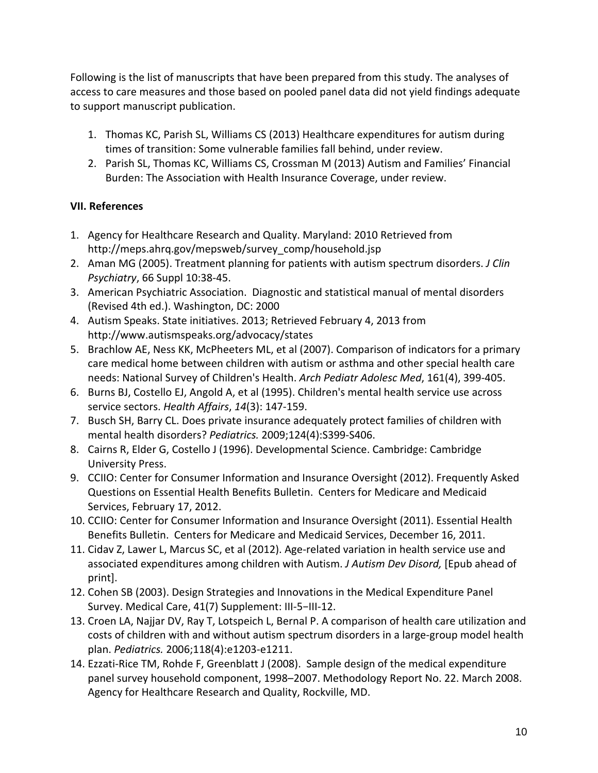Following is the list of manuscripts that have been prepared from this study. The analyses of access to care measures and those based on pooled panel data did not yield findings adequate to support manuscript publication.

- 1. Thomas KC, Parish SL, Williams CS (2013) Healthcare expenditures for autism during times of transition: Some vulnerable families fall behind, under review.
- 2. Parish SL, Thomas KC, Williams CS, Crossman M (2013) Autism and Families' Financial Burden: The Association with Health Insurance Coverage, under review.

# **VII. References**

- 1. Agency for Healthcare Research and Quality. Maryland: 2010 Retrieved from http://meps.ahrq.gov/mepsweb/survey\_comp/household.jsp
- 2. Aman MG (2005). Treatment planning for patients with autism spectrum disorders. *J Clin Psychiatry*, 66 Suppl 10:38-45.
- 3. American Psychiatric Association. Diagnostic and statistical manual of mental disorders (Revised 4th ed.). Washington, DC: 2000
- 4. Autism Speaks. State initiatives. 2013; Retrieved February 4, 2013 from http://www.autismspeaks.org/advocacy/states
- 5. Brachlow AE, Ness KK, McPheeters ML, et al (2007). Comparison of indicators for a primary care medical home between children with autism or asthma and other special health care needs: National Survey of Children's Health. *Arch Pediatr Adolesc Med*, 161(4), 399-405.
- 6. Burns BJ, Costello EJ, Angold A, et al (1995). Children's mental health service use across service sectors. *Health Affairs*, *14*(3): 147-159.
- 7. Busch SH, Barry CL. Does private insurance adequately protect families of children with mental health disorders? *Pediatrics.* 2009;124(4):S399-S406.
- 8. Cairns R, Elder G, Costello J (1996). Developmental Science. Cambridge: Cambridge University Press.
- 9. CCIIO: Center for Consumer Information and Insurance Oversight (2012). Frequently Asked Questions on Essential Health Benefits Bulletin. Centers for Medicare and Medicaid Services, February 17, 2012.
- 10. CCIIO: Center for Consumer Information and Insurance Oversight (2011). Essential Health Benefits Bulletin. Centers for Medicare and Medicaid Services, December 16, 2011.
- 11. Cidav Z, Lawer L, Marcus SC, et al (2012). Age-related variation in health service use and associated expenditures among children with Autism. *J Autism Dev Disord,* [Epub ahead of print].
- 12. Cohen SB (2003). Design Strategies and Innovations in the Medical Expenditure Panel Survey. Medical Care, 41(7) Supplement: III-5−III-12.
- 13. Croen LA, Najjar DV, Ray T, Lotspeich L, Bernal P. A comparison of health care utilization and costs of children with and without autism spectrum disorders in a large-group model health plan. *Pediatrics.* 2006;118(4):e1203-e1211.
- 14. Ezzati-Rice TM, Rohde F, Greenblatt J (2008). Sample design of the medical expenditure panel survey household component, 1998–2007. Methodology Report No. 22. March 2008. Agency for Healthcare Research and Quality, Rockville, MD.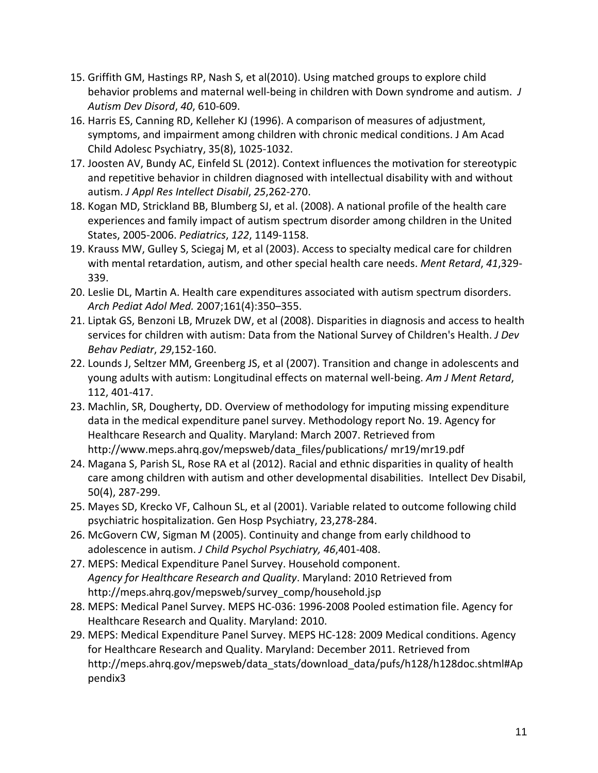- 15. Griffith GM, Hastings RP, Nash S, et al(2010). Using matched groups to explore child behavior problems and maternal well-being in children with Down syndrome and autism. *J Autism Dev Disord*, *40*, 610-609.
- 16. Harris ES, Canning RD, Kelleher KJ (1996). A comparison of measures of adjustment, symptoms, and impairment among children with chronic medical conditions. J Am Acad Child Adolesc Psychiatry, 35(8), 1025-1032.
- 17. Joosten AV, Bundy AC, Einfeld SL (2012). Context influences the motivation for stereotypic and repetitive behavior in children diagnosed with intellectual disability with and without autism. *J Appl Res Intellect Disabil*, *25*,262-270.
- 18. Kogan MD, Strickland BB, Blumberg SJ, et al. (2008). A national profile of the health care experiences and family impact of autism spectrum disorder among children in the United States, 2005-2006. *Pediatrics*, *122*, 1149-1158.
- 19. Krauss MW, Gulley S, Sciegaj M, et al (2003). Access to specialty medical care for children with mental retardation, autism, and other special health care needs. *Ment Retard*, *41*,329- 339.
- 20. Leslie DL, Martin A. Health care expenditures associated with autism spectrum disorders. *Arch Pediat Adol Med.* 2007;161(4):350–355.
- 21. Liptak GS, Benzoni LB, Mruzek DW, et al (2008). Disparities in diagnosis and access to health services for children with autism: Data from the National Survey of Children's Health. *J Dev Behav Pediatr*, *29*,152-160.
- 22. Lounds J, Seltzer MM, Greenberg JS, et al (2007). Transition and change in adolescents and young adults with autism: Longitudinal effects on maternal well-being. *Am J Ment Retard*, 112, 401-417.
- 23. Machlin, SR, Dougherty, DD. Overview of methodology for imputing missing expenditure data in the medical expenditure panel survey. Methodology report No. 19. Agency for Healthcare Research and Quality. Maryland: March 2007. Retrieved from http://www.meps.ahrq.gov/mepsweb/data\_files/publications/ mr19/mr19.pdf
- 24. Magana S, Parish SL, Rose RA et al (2012). Racial and ethnic disparities in quality of health care among children with autism and other developmental disabilities. Intellect Dev Disabil, 50(4), 287-299.
- 25. Mayes SD, Krecko VF, Calhoun SL, et al (2001). Variable related to outcome following child psychiatric hospitalization. Gen Hosp Psychiatry, 23,278-284.
- 26. McGovern CW, Sigman M (2005). Continuity and change from early childhood to adolescence in autism. *J Child Psychol Psychiatry, 46*,401-408.
- 27. MEPS: Medical Expenditure Panel Survey. Household component. *Agency for Healthcare Research and Quality*. Maryland: 2010 Retrieved from http://meps.ahrq.gov/mepsweb/survey\_comp/household.jsp
- 28. MEPS: Medical Panel Survey. MEPS HC-036: 1996-2008 Pooled estimation file. Agency for Healthcare Research and Quality. Maryland: 2010.
- 29. MEPS: Medical Expenditure Panel Survey. MEPS HC-128: 2009 Medical conditions. Agency for Healthcare Research and Quality. Maryland: December 2011. Retrieved from http://meps.ahrq.gov/mepsweb/data\_stats/download\_data/pufs/h128/h128doc.shtml#Ap pendix3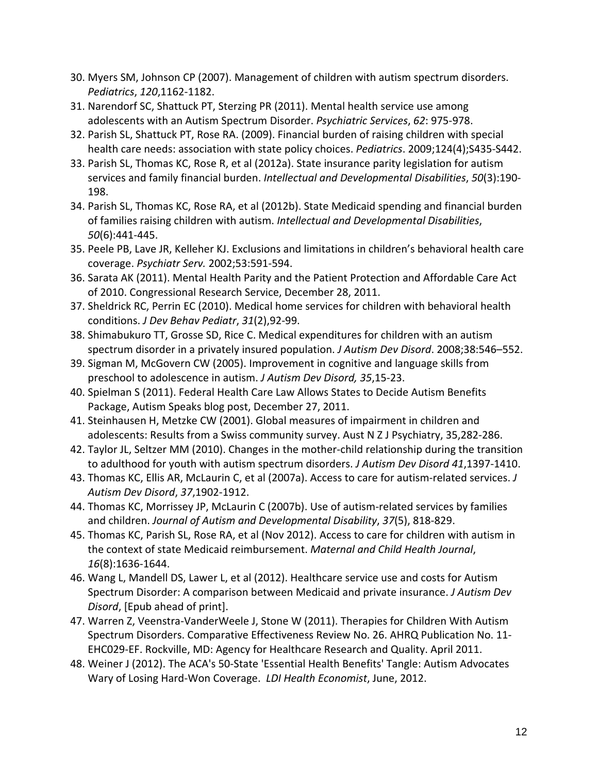- 30. Myers SM, Johnson CP (2007). Management of children with autism spectrum disorders. *Pediatrics*, *120*,1162-1182.
- 31. Narendorf SC, Shattuck PT, Sterzing PR (2011). Mental health service use among adolescents with an Autism Spectrum Disorder. *Psychiatric Services*, *62*: 975-978.
- 32. Parish SL, Shattuck PT, Rose RA. (2009). Financial burden of raising children with special health care needs: association with state policy choices. *Pediatrics*. 2009;124(4);S435-S442.
- 33. Parish SL, Thomas KC, Rose R, et al (2012a). State insurance parity legislation for autism services and family financial burden. *Intellectual and Developmental Disabilities*, *50*(3):190- 198.
- 34. Parish SL, Thomas KC, Rose RA, et al (2012b). State Medicaid spending and financial burden of families raising children with autism. *Intellectual and Developmental Disabilities*, *50*(6):441-445.
- 35. Peele PB, Lave JR, Kelleher KJ. Exclusions and limitations in children's behavioral health care coverage. *Psychiatr Serv.* 2002;53:591-594.
- 36. Sarata AK (2011). Mental Health Parity and the Patient Protection and Affordable Care Act of 2010. Congressional Research Service, December 28, 2011.
- 37. Sheldrick RC, Perrin EC (2010). Medical home services for children with behavioral health conditions. *J Dev Behav Pediatr*, *31*(2),92-99.
- 38. Shimabukuro TT, Grosse SD, Rice C. Medical expenditures for children with an autism spectrum disorder in a privately insured population. *J Autism Dev Disord*. 2008;38:546–552.
- 39. Sigman M, McGovern CW (2005). Improvement in cognitive and language skills from preschool to adolescence in autism. *J Autism Dev Disord, 35*,15-23.
- 40. Spielman S (2011). Federal Health Care Law Allows States to Decide Autism Benefits Package, Autism Speaks blog post, December 27, 2011.
- 41. Steinhausen H, Metzke CW (2001). Global measures of impairment in children and adolescents: Results from a Swiss community survey. Aust N Z J Psychiatry, 35,282-286.
- 42. Taylor JL, Seltzer MM (2010). Changes in the mother-child relationship during the transition to adulthood for youth with autism spectrum disorders. *J Autism Dev Disord 41*,1397-1410.
- 43. Thomas KC, Ellis AR, McLaurin C, et al (2007a). Access to care for autism-related services. *J Autism Dev Disord*, *37*,1902-1912.
- 44. Thomas KC, Morrissey JP, McLaurin C (2007b). Use of autism-related services by families and children. *Journal of Autism and Developmental Disability*, *37*(5), 818-829.
- 45. Thomas KC, Parish SL, Rose RA, et al (Nov 2012). Access to care for children with autism in the context of state Medicaid reimbursement. *Maternal and Child Health Journal*, *16*(8):1636-1644.
- 46. Wang L, Mandell DS, Lawer L, et al (2012). Healthcare service use and costs for Autism Spectrum Disorder: A comparison between Medicaid and private insurance. *J Autism Dev Disord*, [Epub ahead of print].
- 47. Warren Z, Veenstra-VanderWeele J, Stone W (2011). Therapies for Children With Autism Spectrum Disorders. Comparative Effectiveness Review No. 26. AHRQ Publication No. 11- EHC029-EF. Rockville, MD: Agency for Healthcare Research and Quality. April 2011.
- 48. Weiner J (2012). The ACA's 50-State 'Essential Health Benefits' Tangle: Autism Advocates Wary of Losing Hard-Won Coverage. *LDI Health Economist*, June, 2012.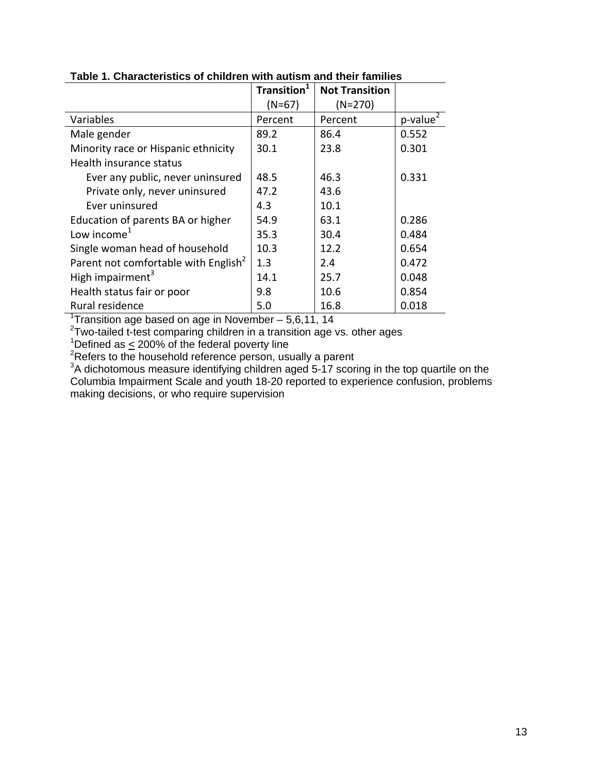|                                                  | Transition <sup>1</sup> | <b>Not Transition</b> |                         |
|--------------------------------------------------|-------------------------|-----------------------|-------------------------|
|                                                  | $(N=67)$                | $(N=270)$             |                         |
| Variables                                        | Percent                 | Percent               | $p$ -value <sup>2</sup> |
| Male gender                                      | 89.2                    | 86.4                  | 0.552                   |
| Minority race or Hispanic ethnicity              | 30.1                    | 23.8                  | 0.301                   |
| Health insurance status                          |                         |                       |                         |
| Ever any public, never uninsured                 | 48.5                    | 46.3                  | 0.331                   |
| Private only, never uninsured                    | 47.2                    | 43.6                  |                         |
| Ever uninsured                                   | 4.3                     | 10.1                  |                         |
| Education of parents BA or higher                | 54.9                    | 63.1                  | 0.286                   |
| Low income $1$                                   | 35.3                    | 30.4                  | 0.484                   |
| Single woman head of household                   | 10.3                    | 12.2                  | 0.654                   |
| Parent not comfortable with English <sup>2</sup> | 1.3                     | 2.4                   | 0.472                   |
| High impairment <sup>3</sup>                     | 14.1                    | 25.7                  | 0.048                   |
| Health status fair or poor                       | 9.8                     | 10.6                  | 0.854                   |
| Rural residence                                  | 5.0                     | 16.8                  | 0.018                   |

# **Table 1. Characteristics of children with autism and their families**

<sup>1</sup>Transition age based on age in November - 5,6,11, 14

 $2$ Two-tailed t-test comparing children in a transition age vs. other ages

<sup>1</sup>Defined as  $\leq$  200% of the federal poverty line

 ${}^{2}$ Refers to the household reference person, usually a parent

 $3A$  dichotomous measure identifying children aged 5-17 scoring in the top quartile on the Columbia Impairment Scale and youth 18-20 reported to experience confusion, problems making decisions, or who require supervision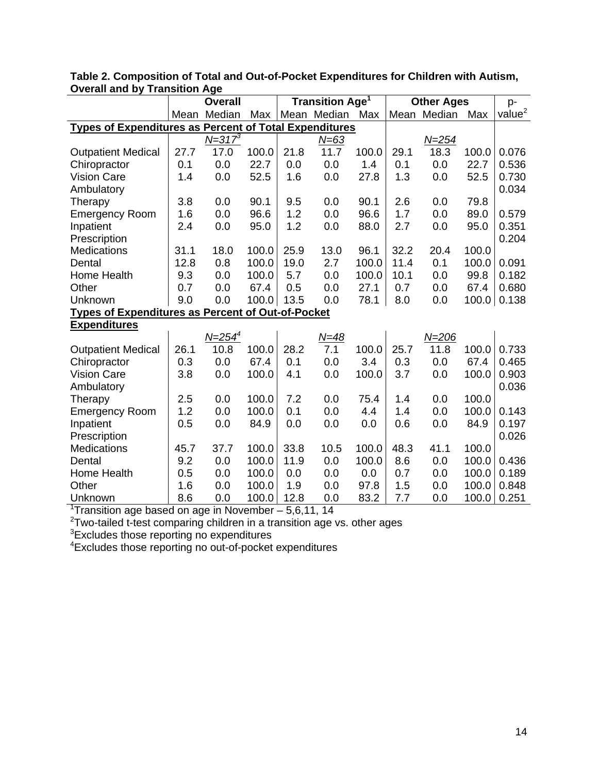|                                                                             | <b>Overall</b> |                            | <b>Transition Age<sup>1</sup></b> |      |             | <b>Other Ages</b> |      |             | p-    |                    |
|-----------------------------------------------------------------------------|----------------|----------------------------|-----------------------------------|------|-------------|-------------------|------|-------------|-------|--------------------|
|                                                                             |                | Mean Median                | Max                               |      | Mean Median | Max               |      | Mean Median | Max   | value <sup>2</sup> |
| <b>Types of Expenditures as Percent of Total Expenditures</b>               |                |                            |                                   |      |             |                   |      |             |       |                    |
|                                                                             |                | $N = 317^3$                |                                   |      | N=63        |                   |      | $N = 254$   |       |                    |
| <b>Outpatient Medical</b>                                                   | 27.7           | 17.0                       | 100.0                             | 21.8 | 11.7        | 100.0             | 29.1 | 18.3        | 100.0 | 0.076              |
| Chiropractor                                                                | 0.1            | 0.0                        | 22.7                              | 0.0  | 0.0         | 1.4               | 0.1  | 0.0         | 22.7  | 0.536              |
| <b>Vision Care</b>                                                          | 1.4            | 0.0                        | 52.5                              | 1.6  | 0.0         | 27.8              | 1.3  | 0.0         | 52.5  | 0.730              |
| Ambulatory                                                                  |                |                            |                                   |      |             |                   |      |             |       | 0.034              |
| Therapy                                                                     | 3.8            | 0.0                        | 90.1                              | 9.5  | 0.0         | 90.1              | 2.6  | 0.0         | 79.8  |                    |
| <b>Emergency Room</b>                                                       | 1.6            | 0.0                        | 96.6                              | 1.2  | 0.0         | 96.6              | 1.7  | 0.0         | 89.0  | 0.579              |
| Inpatient                                                                   | 2.4            | 0.0                        | 95.0                              | 1.2  | 0.0         | 88.0              | 2.7  | 0.0         | 95.0  | 0.351              |
| Prescription                                                                |                |                            |                                   |      |             |                   |      |             |       | 0.204              |
| <b>Medications</b>                                                          | 31.1           | 18.0                       | 100.0                             | 25.9 | 13.0        | 96.1              | 32.2 | 20.4        | 100.0 |                    |
| Dental                                                                      | 12.8           | 0.8                        | 100.0                             | 19.0 | 2.7         | 100.0             | 11.4 | 0.1         | 100.0 | 0.091              |
| Home Health                                                                 | 9.3            | 0.0                        | 100.0                             | 5.7  | 0.0         | 100.0             | 10.1 | 0.0         | 99.8  | 0.182              |
| Other                                                                       | 0.7            | 0.0                        | 67.4                              | 0.5  | 0.0         | 27.1              | 0.7  | 0.0         | 67.4  | 0.680              |
| Unknown                                                                     | 9.0            | 0.0                        | 100.0 13.5                        |      | 0.0         | 78.1              | 8.0  | 0.0         | 100.0 | 0.138              |
| <b>Types of Expenditures as Percent of Out-of-Pocket</b>                    |                |                            |                                   |      |             |                   |      |             |       |                    |
| <b>Expenditures</b>                                                         |                |                            |                                   |      |             |                   |      |             |       |                    |
|                                                                             |                | <u>N=254<math>4</math></u> |                                   |      | $N = 48$    |                   |      | $N = 206$   |       |                    |
| <b>Outpatient Medical</b>                                                   | 26.1           | 10.8                       | 100.0                             | 28.2 | 7.1         | 100.0             | 25.7 | 11.8        | 100.0 | 0.733              |
| Chiropractor                                                                | 0.3            | 0.0                        | 67.4                              | 0.1  | 0.0         | 3.4               | 0.3  | 0.0         | 67.4  | 0.465              |
| <b>Vision Care</b>                                                          | 3.8            | 0.0                        | 100.0                             | 4.1  | 0.0         | 100.0             | 3.7  | 0.0         | 100.0 | 0.903              |
| Ambulatory                                                                  |                |                            |                                   |      |             |                   |      |             |       | 0.036              |
| Therapy                                                                     | 2.5            | 0.0                        | 100.0                             | 7.2  | 0.0         | 75.4              | 1.4  | 0.0         | 100.0 |                    |
| <b>Emergency Room</b>                                                       | 1.2            | 0.0                        | 100.0                             | 0.1  | 0.0         | 4.4               | 1.4  | 0.0         | 100.0 | 0.143              |
| Inpatient                                                                   | 0.5            | 0.0                        | 84.9                              | 0.0  | 0.0         | 0.0               | 0.6  | 0.0         | 84.9  | 0.197              |
| Prescription                                                                |                |                            |                                   |      |             |                   |      |             |       | 0.026              |
| <b>Medications</b>                                                          | 45.7           | 37.7                       | 100.0                             | 33.8 | 10.5        | 100.0             | 48.3 | 41.1        | 100.0 |                    |
| Dental                                                                      | 9.2            | 0.0                        | 100.0                             | 11.9 | 0.0         | 100.0             | 8.6  | 0.0         | 100.0 | 0.436              |
| Home Health                                                                 | 0.5            | 0.0                        | 100.0                             | 0.0  | 0.0         | 0.0               | 0.7  | 0.0         | 100.0 | 0.189              |
| Other                                                                       | 1.6            | 0.0                        | 100.0                             | 1.9  | 0.0         | 97.8              | 1.5  | 0.0         | 100.0 | 0.848              |
| Unknown                                                                     | 8.6            | 0.0                        | 100.0                             | 12.8 | 0.0         | 83.2              | 7.7  | 0.0         | 100.0 | 0.251              |
| <sup>1</sup> Transition age based on age in November $-5,6,11,14$           |                |                            |                                   |      |             |                   |      |             |       |                    |
| $2$ Two-tailed t-test comparing children in a transition age vs. other ages |                |                            |                                   |      |             |                   |      |             |       |                    |
| <sup>3</sup> Excludes those reporting no expenditures                       |                |                            |                                   |      |             |                   |      |             |       |                    |
| <sup>4</sup> Excludes those reporting no out-of-pocket expenditures         |                |                            |                                   |      |             |                   |      |             |       |                    |

**Table 2. Composition of Total and Out-of-Pocket Expenditures for Children with Autism, Overall and by Transition Age**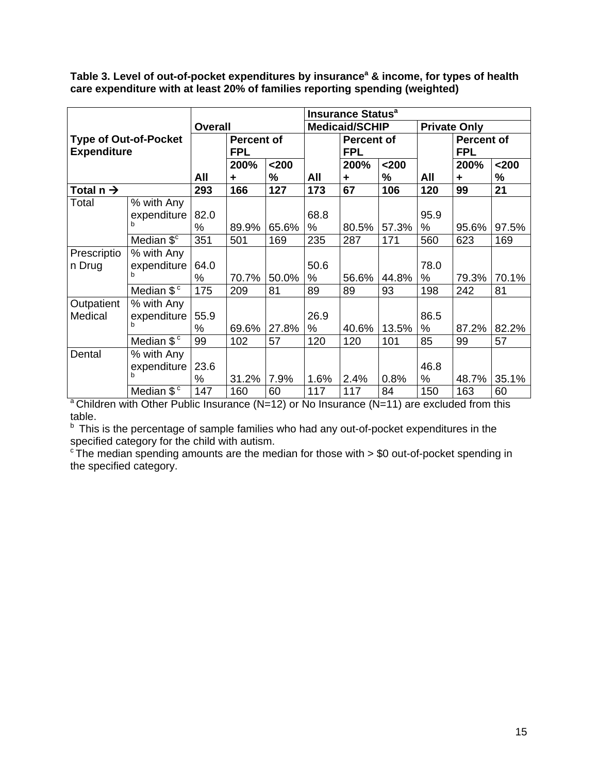**Table 3. Level of out-of-pocket expenditures by insurance<sup>a</sup> & income, for types of health care expenditure with at least 20% of families reporting spending (weighted)**

|                       |                              |                |                   |       | <b>Insurance Status<sup>a</sup></b> |                   |       |                     |                   |       |
|-----------------------|------------------------------|----------------|-------------------|-------|-------------------------------------|-------------------|-------|---------------------|-------------------|-------|
|                       |                              | <b>Overall</b> |                   |       | <b>Medicaid/SCHIP</b>               |                   |       | <b>Private Only</b> |                   |       |
|                       | <b>Type of Out-of-Pocket</b> |                | <b>Percent of</b> |       |                                     | <b>Percent of</b> |       |                     | <b>Percent of</b> |       |
| <b>Expenditure</b>    |                              |                | <b>FPL</b>        |       |                                     | <b>FPL</b>        |       |                     | <b>FPL</b>        |       |
|                       |                              |                | 200%              | $200$ |                                     | 200%              | $200$ |                     | 200%              | $200$ |
|                       |                              | All            | ÷                 | %     | All                                 | ÷                 | %     | All                 | ÷                 | $\%$  |
| Total n $\rightarrow$ |                              | 293            | 166               | 127   | 173                                 | 67                | 106   | 120                 | 99                | 21    |
| Total                 | % with Any                   |                |                   |       |                                     |                   |       |                     |                   |       |
|                       | expenditure                  | 82.0           |                   |       | 68.8                                |                   |       | 95.9                |                   |       |
|                       | h                            | $\%$           | 89.9%             | 65.6% | %                                   | 80.5%             | 57.3% | %                   | 95.6%             | 97.5% |
|                       | Median \$ <sup>c</sup>       | 351            | 501               | 169   | 235                                 | 287               | 171   | 560                 | 623               | 169   |
| Prescriptio           | % with Any                   |                |                   |       |                                     |                   |       |                     |                   |       |
| n Drug                | expenditure                  | 64.0           |                   |       | 50.6                                |                   |       | 78.0                |                   |       |
|                       |                              | $\%$           | 70.7%             | 50.0% | %                                   | 56.6%             | 44.8% | %                   | 79.3%             | 70.1% |
|                       | Median \$ <sup>c</sup>       | 175            | 209               | 81    | 89                                  | 89                | 93    | 198                 | 242               | 81    |
| Outpatient            | % with Any                   |                |                   |       |                                     |                   |       |                     |                   |       |
| Medical               | expenditure                  | 55.9           |                   |       | 26.9                                |                   |       | 86.5                |                   |       |
|                       | b                            | %              | 69.6%             | 27.8% | %                                   | 40.6%             | 13.5% | %                   | 87.2%             | 82.2% |
|                       | Median $$^{\circ}$           | 99             | 102               | 57    | 120                                 | 120               | 101   | 85                  | 99                | 57    |
| Dental                | % with Any                   |                |                   |       |                                     |                   |       |                     |                   |       |
|                       | expenditure                  | 23.6           |                   |       |                                     |                   |       | 46.8                |                   |       |
|                       |                              | %              | 31.2%             | 7.9%  | 1.6%                                | 2.4%              | 0.8%  | ℅                   | 48.7%             | 35.1% |
|                       | Median \$ <sup>c</sup>       | 147            | 160               | 60    | 117                                 | 117               | 84    | 150                 | 163               | 60    |

 $a$  Children with Other Public Insurance (N=12) or No Insurance (N=11) are excluded from this table.

b This is the percentage of sample families who had any out-of-pocket expenditures in the specified category for the child with autism.

<sup>c</sup> The median spending amounts are the median for those with > \$0 out-of-pocket spending in the specified category.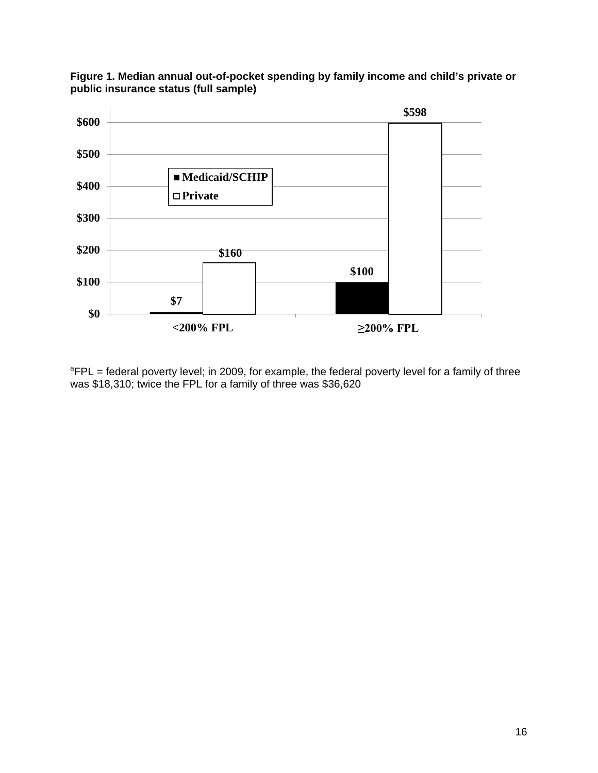



<sup>a</sup>FPL = federal poverty level; in 2009, for example, the federal poverty level for a family of three was \$18,310; twice the FPL for a family of three was \$36,620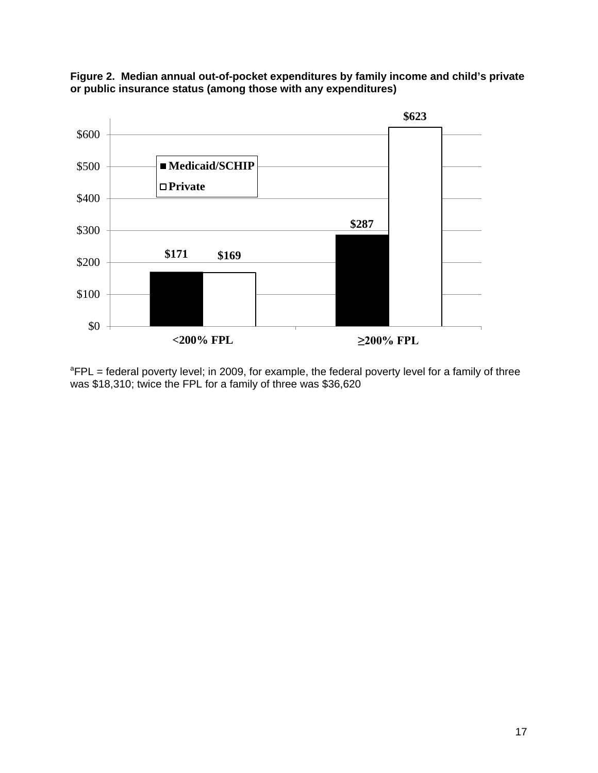



<sup>a</sup>FPL = federal poverty level; in 2009, for example, the federal poverty level for a family of three was \$18,310; twice the FPL for a family of three was \$36,620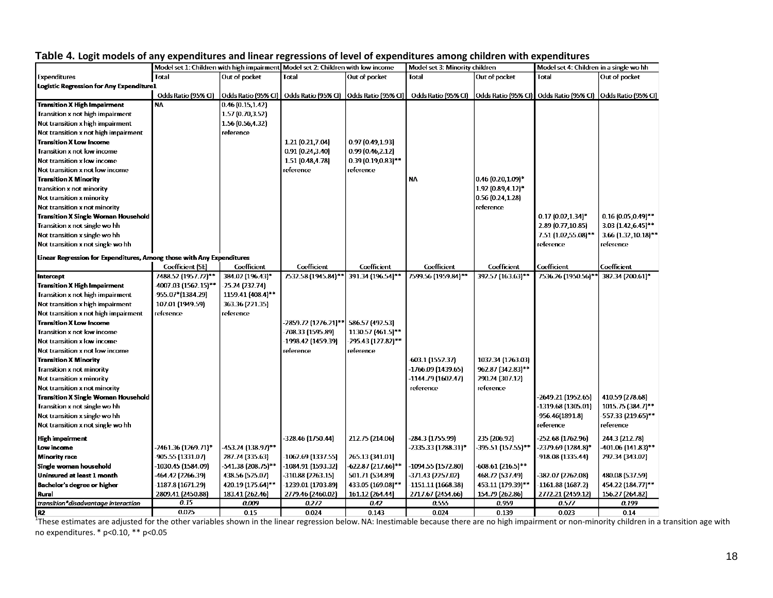|                                                                       |                     | Model set 1: Children with high impairment Model set 2: Children with low income |                      |                       | Model set 3: Minority children                                                                                               |                     | Model set 4: Children in a single wo hh |                          |
|-----------------------------------------------------------------------|---------------------|----------------------------------------------------------------------------------|----------------------|-----------------------|------------------------------------------------------------------------------------------------------------------------------|---------------------|-----------------------------------------|--------------------------|
| <b>Expenditures</b>                                                   | Total               | Out of pocket                                                                    | Total                | Out of pocket         | Total                                                                                                                        | Out of pocket       | Total                                   | Out of pocket            |
| <b>Logistic Regression for Any Expenditure1</b>                       |                     |                                                                                  |                      |                       |                                                                                                                              |                     |                                         |                          |
|                                                                       | Odds Ratio (95% CI) | Odds Ratio (95% CI)                                                              |                      |                       | Odds Ratio (95% CI)  Odds Ratio (95% CI)  Odds Ratio (95% CI)  Odds Ratio (95% CI)  Odds Ratio (95% CI)  Odds Ratio (95% CI) |                     |                                         |                          |
| <b>Transition X High Impairment</b>                                   | <b>NA</b>           | 0.46(0.15, 1.42)                                                                 |                      |                       |                                                                                                                              |                     |                                         |                          |
| Transition x not high impairment                                      |                     | 1.57 (0.70,3.52)                                                                 |                      |                       |                                                                                                                              |                     |                                         |                          |
| Not transition x high impairment                                      |                     | 1.56 (0.56,4.32)                                                                 |                      |                       |                                                                                                                              |                     |                                         |                          |
| Not transition x not high impairment                                  |                     | reference                                                                        |                      |                       |                                                                                                                              |                     |                                         |                          |
| <b>Transition X Low Income</b>                                        |                     |                                                                                  | 1.21 (0.21,7.04)     | 0.97(0.49.1.93)       |                                                                                                                              |                     |                                         |                          |
| Transition x not low income                                           |                     |                                                                                  | 0.91(0.24, 3.40)     | 0.99(0.46, 2.12)      |                                                                                                                              |                     |                                         |                          |
| Not transition x low income                                           |                     |                                                                                  | 1.51 (0.48,4.78)     | $0.39(0.19, 0.83)$ ** |                                                                                                                              |                     |                                         |                          |
| Not transition x not low income                                       |                     |                                                                                  | reference            | reference             |                                                                                                                              |                     |                                         |                          |
| <b>Transition X Minority</b>                                          |                     |                                                                                  |                      |                       | <b>NA</b>                                                                                                                    | $0.46$ (0.20,1.09)* |                                         |                          |
| transition x not minority                                             |                     |                                                                                  |                      |                       |                                                                                                                              | 1.92 (0.89,4.12)*   |                                         |                          |
| Not transition x minority                                             |                     |                                                                                  |                      |                       |                                                                                                                              | 0.56(0.24, 1.28)    |                                         |                          |
| Not transition x not minority                                         |                     |                                                                                  |                      |                       |                                                                                                                              | reference           |                                         |                          |
| <b>Transition X Single Woman Household</b>                            |                     |                                                                                  |                      |                       |                                                                                                                              |                     | $0.17(0.02, 1.34)^*$                    | $0.16$ (0.05,0.49)**     |
| Transition x not single wo hh                                         |                     |                                                                                  |                      |                       |                                                                                                                              |                     | 2.89 (0.77,10.85)                       | $3.03$ $(1.42, 6.45)$ ** |
| Not transition x single wo hh                                         |                     |                                                                                  |                      |                       |                                                                                                                              |                     | 7.51 (1.02,55.08)**                     | 3.66 (1.32, 10.18)**     |
| Not transition x not single wo hh                                     |                     |                                                                                  |                      |                       |                                                                                                                              |                     | reference                               | reference                |
| Linear Regression for Expenditures, Among those with Any Expenditures |                     |                                                                                  |                      |                       |                                                                                                                              |                     |                                         |                          |
|                                                                       | Coefficient (SE)    | Coefficient                                                                      | Coefficient          | Coefficient           | Coefficient                                                                                                                  | Coefficient         | Coefficient                             | Coefficient              |
| Intercept                                                             | 7488.52 (1957.72)** | 384.02 (196.43)*                                                                 | 7532.58 (1945.84)**  | 391.34 (196.54)**     | 7599.56 (1959.84)**                                                                                                          | 392.57 (163.63)**   | 7536.26 (1950.56)**                     | 382.34 (200.61)*         |
| <b>Transition X High Impairment</b>                                   | 4007.03 (1562.15)** | -25.24 (232.74)                                                                  |                      |                       |                                                                                                                              |                     |                                         |                          |
| Transition x not high impairment                                      | 955.07*(1384.29)    | 1159.41 (408.4)**                                                                |                      |                       |                                                                                                                              |                     |                                         |                          |
| Not transition x high impairment                                      | 107.01 (1949.59)    | 363.36 (221.35)                                                                  |                      |                       |                                                                                                                              |                     |                                         |                          |
| Not transition x not high impairment                                  | reference           | reference                                                                        |                      |                       |                                                                                                                              |                     |                                         |                          |
| <b>Transition X Low Income</b>                                        |                     |                                                                                  | -2859.72 (1276.21)** | 586.57 (492.53)       |                                                                                                                              |                     |                                         |                          |
| Transition x not low income                                           |                     |                                                                                  | 708.33 (1595.89)     | 1130.57 (461.5)**     |                                                                                                                              |                     |                                         |                          |
| Not transition x low income                                           |                     |                                                                                  | 1998.42 (1459.39)    | -295.43 (127.82)**    |                                                                                                                              |                     |                                         |                          |
| Not transition x not low income                                       |                     |                                                                                  | reference            | reference             |                                                                                                                              |                     |                                         |                          |
| <b>Transition X Minority</b>                                          |                     |                                                                                  |                      |                       | 603.1 (1552.37)                                                                                                              | 1032.34 (1263.03)   |                                         |                          |
| <b>Transition x not minority</b>                                      |                     |                                                                                  |                      |                       | -1766.09 (1439.65)                                                                                                           | 962.87 (342.83)**   |                                         |                          |
| Not transition x minority                                             |                     |                                                                                  |                      |                       | -1144.79 (1602.47)                                                                                                           | 290.24 (307.12)     |                                         |                          |
| Not transition x not minority                                         |                     |                                                                                  |                      |                       | reference                                                                                                                    | reference           |                                         |                          |
| <b>Transition X Single Woman Household</b>                            |                     |                                                                                  |                      |                       |                                                                                                                              |                     | -2649.21 (1952.65)                      | 410.59 (278.68)          |
| Transition x not single wo hh                                         |                     |                                                                                  |                      |                       |                                                                                                                              |                     | -1319.68 (1305.01)                      | 1015.75 (384.7)**        |
| Not transition x single wo hh                                         |                     |                                                                                  |                      |                       |                                                                                                                              |                     | -956.46(1891.8)                         | 557.33 (219.65)**        |
| Not transition x not single wo hh                                     |                     |                                                                                  |                      |                       |                                                                                                                              |                     | reference                               | reference                |
| High impairment                                                       |                     |                                                                                  | 328.46 (1750.44)     | 212.75 (214.06)       | 284.3 (1755.99)                                                                                                              | 235 (206.92)        | -252.68 (1762.96)                       | 244.3 (212.78)           |
| Low income                                                            | 2461.36 (1269.71)*  | 453.24 (138.97)**                                                                |                      |                       | -2335.33 (1288.31)*                                                                                                          | -395.51 (157.55)**  | -2379.69 (1284.8)*                      | 401.06 (141.83)**        |
| <b>Minority race</b>                                                  | 905.55 (1331.07)    | 287.74 (335.63)                                                                  | -1062.69 (1337.55)   | 265.13 (341.01)       |                                                                                                                              |                     | -918.08 (1335.44)                       | 292.34 (343.02)          |
| Single woman household                                                | -1030.45 (1584.09)  | -541.38 (208.75)**                                                               | 1084.91 (1593.32)    | 622.87 (217.66)**     | -1094.55 (1572.80)                                                                                                           | -608.61 (216.5)**   |                                         |                          |
| Uninsured at least 1 month                                            | 464.42 (2266.39)    | 438.56 (525.07)                                                                  | -310.88 (2263.15)    | 501.71 (534.89)       | -371.43 (2257.02)                                                                                                            | 468.72 (537.49)     | 382.07 (2262.08)                        | 480.08 (537.59)          |
| Bachelor's degree or higher                                           | 1187.8 (1671.29)    | 420.19 (175.64)**                                                                | -1239.01 (1703.89)   | 433.05 (169.08)**     | $-1151.11(1668.38)$                                                                                                          | 453.11 (179.39)**   | $-1161.88(1687.2)$                      | 454.22 (184.77)**        |
| Rural                                                                 | 2809.41 (2450.88)   | 183.41 (262.46)                                                                  | 2779.46 (2460.02)    | 161.12 (264.44)       | 2717.67 (2454.66)                                                                                                            | 154.79 (262.86)     | 2772.21 (2459.12)                       | 156.27 (264.82)          |
| transition*disadvantage interaction                                   | 0.15                | 0.009                                                                            | 0.272                | 0.42                  | 0.555                                                                                                                        | 0.959               | 0.577                                   | 0.199                    |
| R <sub>2</sub>                                                        | 0.025               | 0.15                                                                             | 0.024                | 0.143                 | 0.024                                                                                                                        | 0.139               | 0.023                                   | 0.14                     |

#### **Table 4. Logit models of any expenditures and linear regressions of level of expenditures among children with expenditures**

<sup>1</sup>These estimates are adjusted for the other variables shown in the linear regression below. NA: Inestimable because there are no high impairment or non-minority children in a transition age with no expenditures. \* p<0.10, \*\* p<0.05